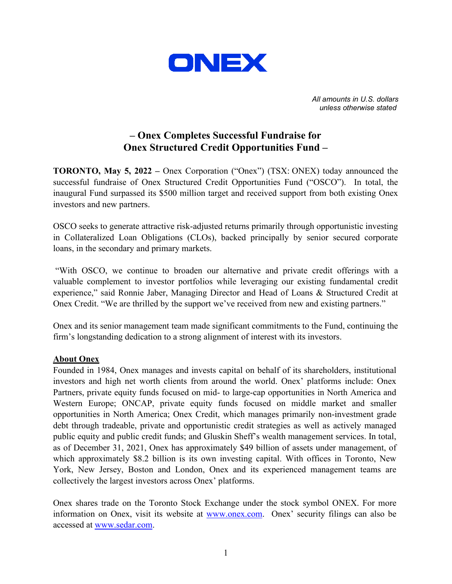

*All amounts in U.S. dollars unless otherwise stated*

## **– Onex Completes Successful Fundraise for Onex Structured Credit Opportunities Fund –**

**TORONTO, May 5, 2022 –** Onex Corporation ("Onex") (TSX: ONEX) today announced the successful fundraise of Onex Structured Credit Opportunities Fund ("OSCO"). In total, the inaugural Fund surpassed its \$500 million target and received support from both existing Onex investors and new partners.

OSCO seeks to generate attractive risk-adjusted returns primarily through opportunistic investing in Collateralized Loan Obligations (CLOs), backed principally by senior secured corporate loans, in the secondary and primary markets.

"With OSCO, we continue to broaden our alternative and private credit offerings with a valuable complement to investor portfolios while leveraging our existing fundamental credit experience," said Ronnie Jaber, Managing Director and Head of Loans & Structured Credit at Onex Credit. "We are thrilled by the support we've received from new and existing partners."

Onex and its senior management team made significant commitments to the Fund, continuing the firm's longstanding dedication to a strong alignment of interest with its investors.

## **About Onex**

Founded in 1984, Onex manages and invests capital on behalf of its shareholders, institutional investors and high net worth clients from around the world. Onex' platforms include: Onex Partners, private equity funds focused on mid- to large-cap opportunities in North America and Western Europe; ONCAP, private equity funds focused on middle market and smaller opportunities in North America; Onex Credit, which manages primarily non-investment grade debt through tradeable, private and opportunistic credit strategies as well as actively managed public equity and public credit funds; and Gluskin Sheff's wealth management services. In total, as of December 31, 2021, Onex has approximately \$49 billion of assets under management, of which approximately \$8.2 billion is its own investing capital. With offices in Toronto, New York, New Jersey, Boston and London, Onex and its experienced management teams are collectively the largest investors across Onex' platforms.

Onex shares trade on the Toronto Stock Exchange under the stock symbol ONEX. For more information on Onex, visit its website at [www.onex.com.](http://www.onex.com/) Onex' security filings can also be accessed at [www.sedar.com.](http://www.sedar.com/)